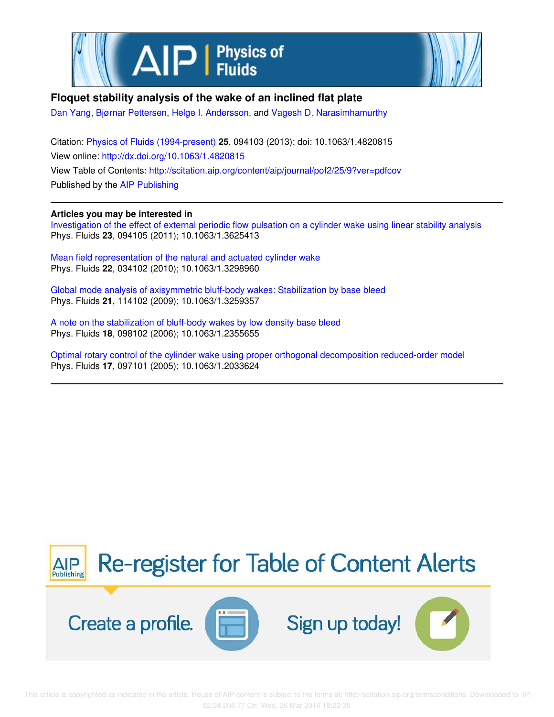



## **Floquet stability analysis of the wake of an inclined flat plate**

Dan Yang, Bjørnar Pettersen, Helge I. Andersson, and Vagesh D. Narasimhamurthy

Citation: Physics of Fluids (1994-present) **25**, 094103 (2013); doi: 10.1063/1.4820815 View online: http://dx.doi.org/10.1063/1.4820815 View Table of Contents: http://scitation.aip.org/content/aip/journal/pof2/25/9?ver=pdfcov Published by the AIP Publishing

## **Articles you may be interested in**

Investigation of the effect of external periodic flow pulsation on a cylinder wake using linear stability analysis Phys. Fluids **23**, 094105 (2011); 10.1063/1.3625413

Mean field representation of the natural and actuated cylinder wake Phys. Fluids **22**, 034102 (2010); 10.1063/1.3298960

Global mode analysis of axisymmetric bluff-body wakes: Stabilization by base bleed Phys. Fluids **21**, 114102 (2009); 10.1063/1.3259357

A note on the stabilization of bluff-body wakes by low density base bleed Phys. Fluids **18**, 098102 (2006); 10.1063/1.2355655

Optimal rotary control of the cylinder wake using proper orthogonal decomposition reduced-order model Phys. Fluids **17**, 097101 (2005); 10.1063/1.2033624

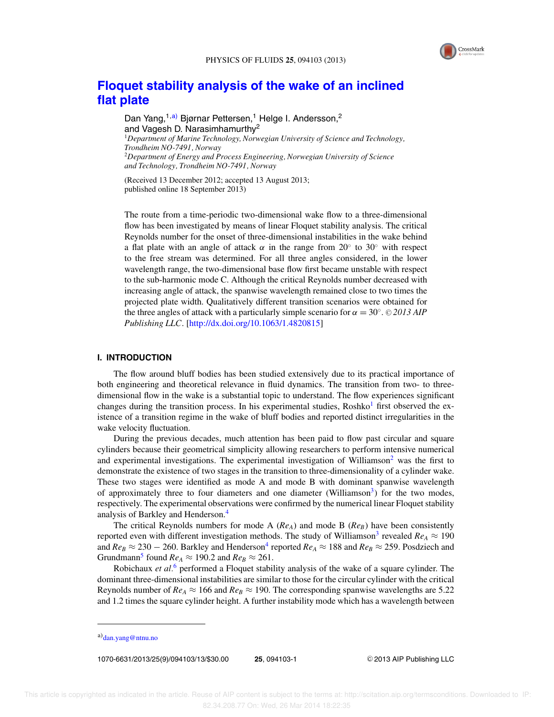

# **Floquet stability analysis of the wake of an inclined flat plate**

Dan Yang,<sup>1,a)</sup> Bjørnar Pettersen,<sup>1</sup> Helge I. Andersson,<sup>2</sup> and Vagesh D. Narasimhamurthy<sup>2</sup> <sup>1</sup>*Department of Marine Technology, Norwegian University of Science and Technology, Trondheim NO-7491, Norway* <sup>2</sup>*Department of Energy and Process Engineering, Norwegian University of Science and Technology, Trondheim NO-7491, Norway*

(Received 13 December 2012; accepted 13 August 2013; published online 18 September 2013)

The route from a time-periodic two-dimensional wake flow to a three-dimensional flow has been investigated by means of linear Floquet stability analysis. The critical Reynolds number for the onset of three-dimensional instabilities in the wake behind a flat plate with an angle of attack  $\alpha$  in the range from 20° to 30° with respect to the free stream was determined. For all three angles considered, in the lower wavelength range, the two-dimensional base flow first became unstable with respect to the sub-harmonic mode C. Although the critical Reynolds number decreased with increasing angle of attack, the spanwise wavelength remained close to two times the projected plate width. Qualitatively different transition scenarios were obtained for the three angles of attack with a particularly simple scenario for  $\alpha = 30^{\circ}$ . © 2013 AIP *Publishing LLC*. [http://dx.doi.org/10.1063/1.4820815]

### **I. INTRODUCTION**

The flow around bluff bodies has been studied extensively due to its practical importance of both engineering and theoretical relevance in fluid dynamics. The transition from two- to threedimensional flow in the wake is a substantial topic to understand. The flow experiences significant changes during the transition process. In his experimental studies,  $Rosh{k}$  first observed the existence of a transition regime in the wake of bluff bodies and reported distinct irregularities in the wake velocity fluctuation.

During the previous decades, much attention has been paid to flow past circular and square cylinders because their geometrical simplicity allowing researchers to perform intensive numerical and experimental investigations. The experimental investigation of Williamson<sup>2</sup> was the first to demonstrate the existence of two stages in the transition to three-dimensionality of a cylinder wake. These two stages were identified as mode A and mode B with dominant spanwise wavelength of approximately three to four diameters and one diameter (Williamson<sup>3</sup>) for the two modes, respectively. The experimental observations were confirmed by the numerical linear Floquet stability analysis of Barkley and Henderson.<sup>4</sup>

The critical Reynolds numbers for mode A (*ReA*) and mode B (*ReB*) have been consistently reported even with different investigation methods. The study of Williamson<sup>3</sup> revealed  $Re_A \approx 190$ and  $Re_B \approx 230-260$ . Barkley and Henderson $^4$  reported  $Re_A \approx 188$  and  $Re_B \approx 259$ . Posdziech and Grundmann<sup>5</sup> found  $Re_A \approx 190.2$  and  $Re_B \approx 261$ .

Robichaux *et al.*<sup>6</sup> performed a Floquet stability analysis of the wake of a square cylinder. The dominant three-dimensional instabilities are similar to those for the circular cylinder with the critical Reynolds number of  $Re_A \approx 166$  and  $Re_B \approx 190$ . The corresponding spanwise wavelengths are 5.22 and 1.2 times the square cylinder height. A further instability mode which has a wavelength between

1070-6631/2013/25(9)/094103/13/\$30.00 **25**, 094103-1 -

<sup>C</sup> 2013 AIP Publishing LLC

a) dan.yang@ntnu.no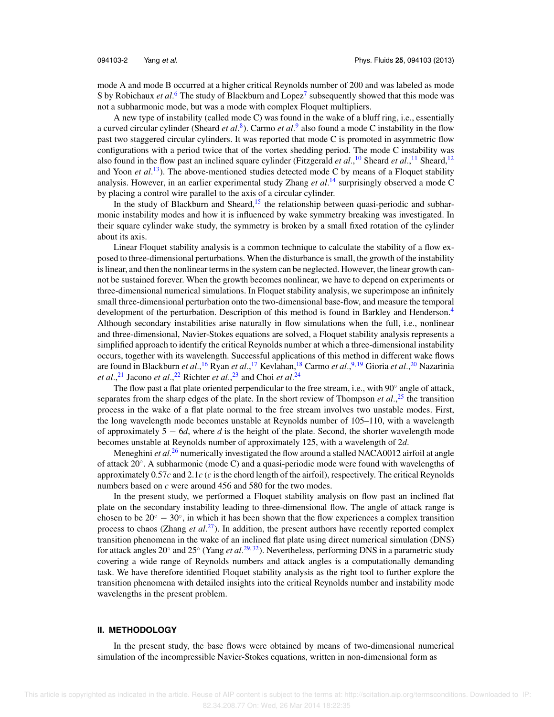mode A and mode B occurred at a higher critical Reynolds number of 200 and was labeled as mode S by Robichaux *et al.*<sup>6</sup> The study of Blackburn and Lopez<sup>7</sup> subsequently showed that this mode was not a subharmonic mode, but was a mode with complex Floquet multipliers.

A new type of instability (called mode C) was found in the wake of a bluff ring, i.e., essentially a curved circular cylinder (Sheard *et al.*<sup>8</sup>). Carmo *et al.*<sup>9</sup> also found a mode C instability in the flow past two staggered circular cylinders. It was reported that mode C is promoted in asymmetric flow configurations with a period twice that of the vortex shedding period. The mode C instability was also found in the flow past an inclined square cylinder (Fitzgerald *et al.*,<sup>10</sup> Sheard *et al.*,<sup>11</sup> Sheard,<sup>12</sup> and Yoon *et al.*<sup>13</sup>). The above-mentioned studies detected mode C by means of a Floquet stability analysis. However, in an earlier experimental study Zhang *et al.*<sup>14</sup> surprisingly observed a mode C by placing a control wire parallel to the axis of a circular cylinder.

In the study of Blackburn and Sheard,<sup>15</sup> the relationship between quasi-periodic and subharmonic instability modes and how it is influenced by wake symmetry breaking was investigated. In their square cylinder wake study, the symmetry is broken by a small fixed rotation of the cylinder about its axis.

Linear Floquet stability analysis is a common technique to calculate the stability of a flow exposed to three-dimensional perturbations. When the disturbance is small, the growth of the instability is linear, and then the nonlinear terms in the system can be neglected. However, the linear growth cannot be sustained forever. When the growth becomes nonlinear, we have to depend on experiments or three-dimensional numerical simulations. In Floquet stability analysis, we superimpose an infinitely small three-dimensional perturbation onto the two-dimensional base-flow, and measure the temporal development of the perturbation. Description of this method is found in Barkley and Henderson.<sup>4</sup> Although secondary instabilities arise naturally in flow simulations when the full, i.e., nonlinear and three-dimensional, Navier-Stokes equations are solved, a Floquet stability analysis represents a simplified approach to identify the critical Reynolds number at which a three-dimensional instability occurs, together with its wavelength. Successful applications of this method in different wake flows are found in Blackburn *et al.*, <sup>16</sup> Ryan *et al.*, <sup>17</sup> Kevlahan, <sup>18</sup> Carmo *et al.*, <sup>9, 19</sup> Gioria *et al.*, <sup>20</sup> Nazarinia *et al.*, <sup>21</sup> Jacono *et al.*, <sup>22</sup> Richter *et al.*, <sup>23</sup> and Choi *et al.*<sup>24</sup>

The flow past a flat plate oriented perpendicular to the free stream, i.e., with 90° angle of attack, separates from the sharp edges of the plate. In the short review of Thompson *et al.*,<sup>25</sup> the transition process in the wake of a flat plate normal to the free stream involves two unstable modes. First, the long wavelength mode becomes unstable at Reynolds number of 105–110, with a wavelength of approximately 5 − 6*d*, where *d* is the height of the plate. Second, the shorter wavelength mode becomes unstable at Reynolds number of approximately 125, with a wavelength of 2*d*.

Meneghini *et al.<sup>26</sup>* numerically investigated the flow around a stalled NACA0012 airfoil at angle of attack 20◦ . A subharmonic (mode C) and a quasi-periodic mode were found with wavelengths of approximately 0.57*c* and 2.1*c* (*c* is the chord length of the airfoil), respectively. The critical Reynolds numbers based on *c* were around 456 and 580 for the two modes.

In the present study, we performed a Floquet stability analysis on flow past an inclined flat plate on the secondary instability leading to three-dimensional flow. The angle of attack range is chosen to be  $20^\circ - 30^\circ$ , in which it has been shown that the flow experiences a complex transition process to chaos (Zhang *et al.*<sup>27</sup>). In addition, the present authors have recently reported complex transition phenomena in the wake of an inclined flat plate using direct numerical simulation (DNS) for attack angles 20° and 25° (Yang *et al.*<sup>29,32</sup>). Nevertheless, performing DNS in a parametric study covering a wide range of Reynolds numbers and attack angles is a computationally demanding task. We have therefore identified Floquet stability analysis as the right tool to further explore the transition phenomena with detailed insights into the critical Reynolds number and instability mode wavelengths in the present problem.

#### **II. METHODOLOGY**

In the present study, the base flows were obtained by means of two-dimensional numerical simulation of the incompressible Navier-Stokes equations, written in non-dimensional form as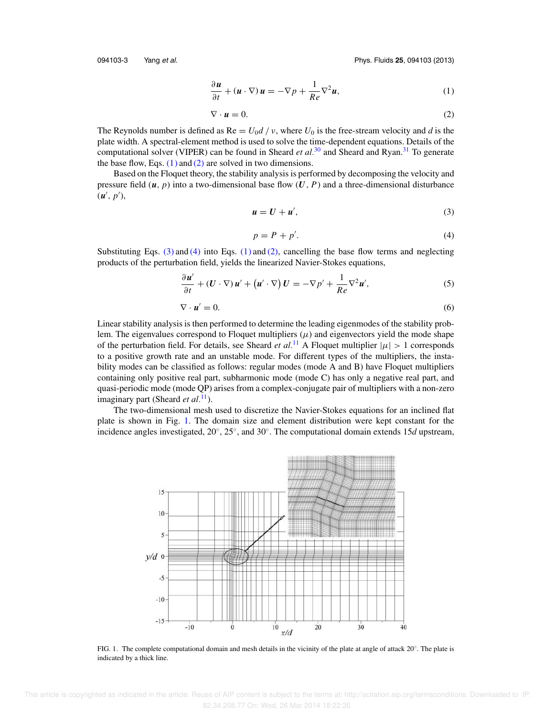094103-3 Yang et al. Phys. Fluids **25**, 094103 (2013)

$$
\frac{\partial \boldsymbol{u}}{\partial t} + (\boldsymbol{u} \cdot \nabla) \, \boldsymbol{u} = -\nabla p + \frac{1}{Re} \nabla^2 \boldsymbol{u},\tag{1}
$$

$$
\nabla \cdot \mathbf{u} = 0. \tag{2}
$$

The Reynolds number is defined as  $\text{Re} = U_0 d / v$ , where  $U_0$  is the free-stream velocity and *d* is the plate width. A spectral-element method is used to solve the time-dependent equations. Details of the computational solver (VIPER) can be found in Sheard *et al*.<sup>30</sup> and Sheard and Ryan.<sup>31</sup> To generate the base flow, Eqs.  $(1)$  and  $(2)$  are solved in two dimensions.

Based on the Floquet theory, the stability analysis is performed by decomposing the velocity and pressure field  $(u, p)$  into a two-dimensional base flow  $(U, P)$  and a three-dimensional disturbance  $(\boldsymbol{u}', p'),$ 

$$
u = U + u',\tag{3}
$$

$$
p = P + p'.\tag{4}
$$

Substituting Eqs.  $(3)$  and  $(4)$  into Eqs.  $(1)$  and  $(2)$ , cancelling the base flow terms and neglecting products of the perturbation field, yields the linearized Navier-Stokes equations,

$$
\frac{\partial u'}{\partial t} + (U \cdot \nabla) u' + (u' \cdot \nabla) U = -\nabla p' + \frac{1}{Re} \nabla^2 u',\tag{5}
$$

$$
\nabla \cdot \mathbf{u}' = 0. \tag{6}
$$

Linear stability analysis is then performed to determine the leading eigenmodes of the stability problem. The eigenvalues correspond to Floquet multipliers  $(\mu)$  and eigenvectors yield the mode shape of the perturbation field. For details, see Sheard *et al.*<sup>11</sup> A Floquet multiplier  $|\mu| > 1$  corresponds to a positive growth rate and an unstable mode. For different types of the multipliers, the instability modes can be classified as follows: regular modes (mode A and B) have Floquet multipliers containing only positive real part, subharmonic mode (mode C) has only a negative real part, and quasi-periodic mode (mode QP) arises from a complex-conjugate pair of multipliers with a non-zero imaginary part (Sheard *et al.*<sup>11</sup>).

The two-dimensional mesh used to discretize the Navier-Stokes equations for an inclined flat plate is shown in Fig. 1. The domain size and element distribution were kept constant for the incidence angles investigated, 20◦ , 25◦ , and 30◦ . The computational domain extends 15*d* upstream,



FIG. 1. The complete computational domain and mesh details in the vicinity of the plate at angle of attack 20◦ . The plate is indicated by a thick line.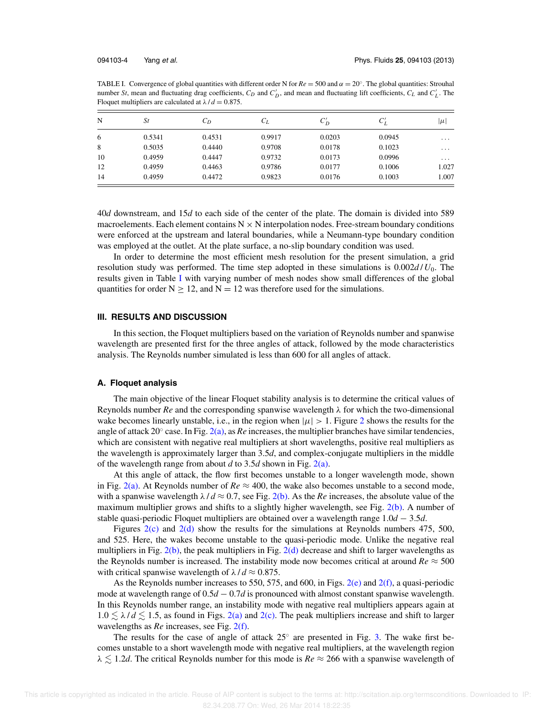TABLE I. Convergence of global quantities with different order N for  $Re = 500$  and  $\alpha = 20^\circ$ . The global quantities: Strouhal number *St*, mean and fluctuating drag coefficients,  $C_D$  and  $C'_D$ , and mean and fluctuating lift coefficients,  $C_L$  and  $C'_L$ . The Floquet multipliers are calculated at  $\lambda / d = 0.875$ .

| N  | <i>St</i> | $C_D$  | $C_L$  | $C_D'$ | $\sqrt{ }$<br>$C_L$ | $ \mu $  |
|----|-----------|--------|--------|--------|---------------------|----------|
| 6  | 0.5341    | 0.4531 | 0.9917 | 0.0203 | 0.0945              | $\cdots$ |
| 8  | 0.5035    | 0.4440 | 0.9708 | 0.0178 | 0.1023              | $\cdots$ |
| 10 | 0.4959    | 0.4447 | 0.9732 | 0.0173 | 0.0996              | $\cdots$ |
| 12 | 0.4959    | 0.4463 | 0.9786 | 0.0177 | 0.1006              | 1.027    |
| 14 | 0.4959    | 0.4472 | 0.9823 | 0.0176 | 0.1003              | 1.007    |

40*d* downstream, and 15*d* to each side of the center of the plate. The domain is divided into 589 macroelements. Each element contains  $N \times N$  interpolation nodes. Free-stream boundary conditions were enforced at the upstream and lateral boundaries, while a Neumann-type boundary condition was employed at the outlet. At the plate surface, a no-slip boundary condition was used.

In order to determine the most efficient mesh resolution for the present simulation, a grid resolution study was performed. The time step adopted in these simulations is 0.002*d* / *U*0. The results given in Table I with varying number of mesh nodes show small differences of the global quantities for order  $N \ge 12$ , and  $N = 12$  was therefore used for the simulations.

#### **III. RESULTS AND DISCUSSION**

In this section, the Floquet multipliers based on the variation of Reynolds number and spanwise wavelength are presented first for the three angles of attack, followed by the mode characteristics analysis. The Reynolds number simulated is less than 600 for all angles of attack.

#### **A. Floquet analysis**

The main objective of the linear Floquet stability analysis is to determine the critical values of Reynolds number  $Re$  and the corresponding spanwise wavelength  $\lambda$  for which the two-dimensional wake becomes linearly unstable, i.e., in the region when  $|\mu| > 1$ . Figure 2 shows the results for the angle of attack 20◦ case. In Fig. 2(a), as *Re* increases, the multiplier branches have similar tendencies, which are consistent with negative real multipliers at short wavelengths, positive real multipliers as the wavelength is approximately larger than 3.5*d*, and complex-conjugate multipliers in the middle of the wavelength range from about *d* to 3.5*d* shown in Fig. 2(a).

At this angle of attack, the flow first becomes unstable to a longer wavelength mode, shown in Fig. 2(a). At Reynolds number of  $Re \approx 400$ , the wake also becomes unstable to a second mode, with a spanwise wavelength  $\lambda / d \approx 0.7$ , see Fig. 2(b). As the *Re* increases, the absolute value of the maximum multiplier grows and shifts to a slightly higher wavelength, see Fig.  $2(b)$ . A number of stable quasi-periodic Floquet multipliers are obtained over a wavelength range 1.0*d* − 3.5*d*.

Figures  $2(c)$  and  $2(d)$  show the results for the simulations at Reynolds numbers 475, 500, and 525. Here, the wakes become unstable to the quasi-periodic mode. Unlike the negative real multipliers in Fig.  $2(b)$ , the peak multipliers in Fig.  $2(d)$  decrease and shift to larger wavelengths as the Reynolds number is increased. The instability mode now becomes critical at around  $Re \approx 500$ with critical spanwise wavelength of  $\lambda / d \approx 0.875$ .

As the Reynolds number increases to 550, 575, and 600, in Figs.  $2(e)$  and  $2(f)$ , a quasi-periodic mode at wavelength range of 0.5*d* − 0.7*d* is pronounced with almost constant spanwise wavelength. In this Reynolds number range, an instability mode with negative real multipliers appears again at  $1.0 \le \lambda / d \le 1.5$ , as found in Figs. 2(a) and 2(c). The peak multipliers increase and shift to larger wavelengths as *Re* increases, see Fig. 2(f).

The results for the case of angle of attack  $25^\circ$  are presented in Fig. 3. The wake first becomes unstable to a short wavelength mode with negative real multipliers, at the wavelength region  $\lambda \lesssim 1.2d$ . The critical Reynolds number for this mode is  $Re \approx 266$  with a spanwise wavelength of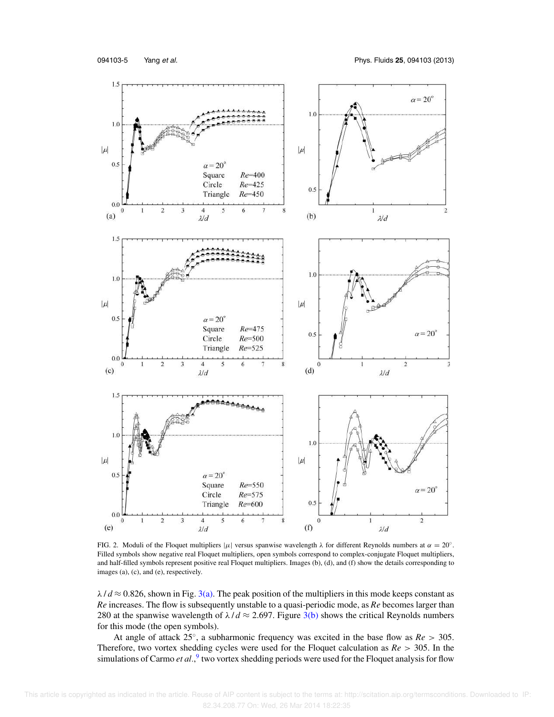

FIG. 2. Moduli of the Floquet multipliers  $|\mu|$  versus spanwise wavelength  $\lambda$  for different Reynolds numbers at  $\alpha = 20^{\circ}$ . Filled symbols show negative real Floquet multipliers, open symbols correspond to complex-conjugate Floquet multipliers, and half-filled symbols represent positive real Floquet multipliers. Images (b), (d), and (f) show the details corresponding to images (a), (c), and (e), respectively.

 $\lambda$  /  $d \approx 0.826$ , shown in Fig. 3(a). The peak position of the multipliers in this mode keeps constant as *Re* increases. The flow is subsequently unstable to a quasi-periodic mode, as *Re* becomes larger than 280 at the spanwise wavelength of  $\lambda/d \approx 2.697$ . Figure 3(b) shows the critical Reynolds numbers for this mode (the open symbols).

At angle of attack 25◦ , a subharmonic frequency was excited in the base flow as *Re* > 305. Therefore, two vortex shedding cycles were used for the Floquet calculation as *Re* > 305. In the simulations of Carmo *et al.*,<sup>9</sup> two vortex shedding periods were used for the Floquet analysis for flow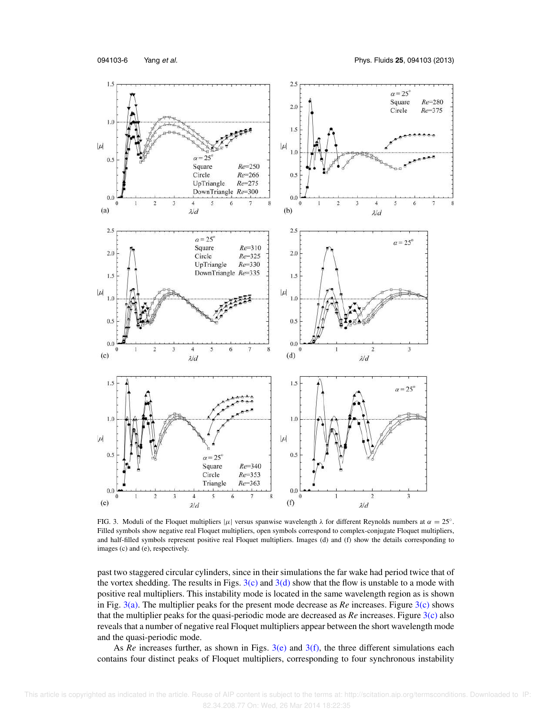

FIG. 3. Moduli of the Floquet multipliers  $|\mu|$  versus spanwise wavelength  $\lambda$  for different Reynolds numbers at  $\alpha = 25^\circ$ . Filled symbols show negative real Floquet multipliers, open symbols correspond to complex-conjugate Floquet multipliers, and half-filled symbols represent positive real Floquet multipliers. Images (d) and (f) show the details corresponding to images (c) and (e), respectively.

past two staggered circular cylinders, since in their simulations the far wake had period twice that of the vortex shedding. The results in Figs.  $3(c)$  and  $3(d)$  show that the flow is unstable to a mode with positive real multipliers. This instability mode is located in the same wavelength region as is shown in Fig. 3(a). The multiplier peaks for the present mode decrease as *Re* increases. Figure 3(c) shows that the multiplier peaks for the quasi-periodic mode are decreased as *Re* increases. Figure 3(c) also reveals that a number of negative real Floquet multipliers appear between the short wavelength mode and the quasi-periodic mode.

As  $Re$  increases further, as shown in Figs.  $3(e)$  and  $3(f)$ , the three different simulations each contains four distinct peaks of Floquet multipliers, corresponding to four synchronous instability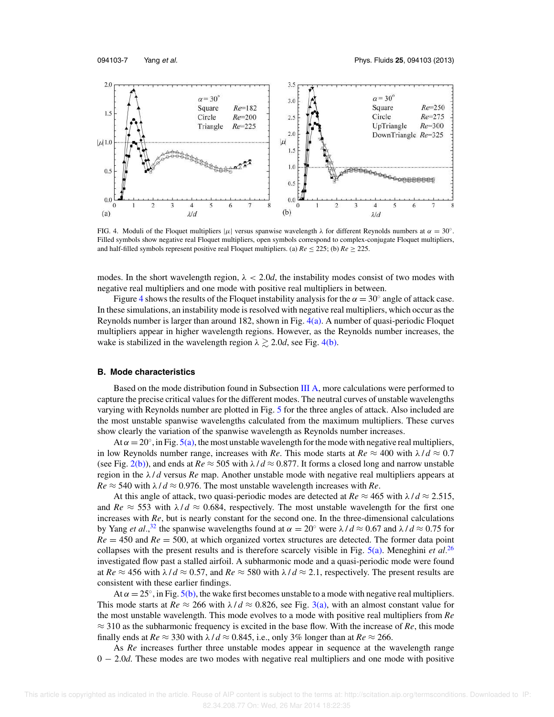

FIG. 4. Moduli of the Floquet multipliers  $|\mu|$  versus spanwise wavelength  $\lambda$  for different Reynolds numbers at  $\alpha = 30^{\circ}$ . Filled symbols show negative real Floquet multipliers, open symbols correspond to complex-conjugate Floquet multipliers, and half-filled symbols represent positive real Floquet multipliers. (a)  $Re \le 225$ ; (b)  $Re \ge 225$ .

modes. In the short wavelength region,  $\lambda < 2.0d$ , the instability modes consist of two modes with negative real multipliers and one mode with positive real multipliers in between.

Figure 4 shows the results of the Floquet instability analysis for the  $\alpha = 30^\circ$  angle of attack case. In these simulations, an instability mode is resolved with negative real multipliers, which occur as the Reynolds number is larger than around 182, shown in Fig. 4(a). A number of quasi-periodic Floquet multipliers appear in higher wavelength regions. However, as the Reynolds number increases, the wake is stabilized in the wavelength region  $\lambda \gtrsim 2.0d$ , see Fig. 4(b).

#### **B. Mode characteristics**

Based on the mode distribution found in Subsection III A, more calculations were performed to capture the precise critical values for the different modes. The neutral curves of unstable wavelengths varying with Reynolds number are plotted in Fig. 5 for the three angles of attack. Also included are the most unstable spanwise wavelengths calculated from the maximum multipliers. These curves show clearly the variation of the spanwise wavelength as Reynolds number increases.

At  $\alpha = 20^{\circ}$ , in Fig. 5(a), the most unstable wavelength for the mode with negative real multipliers, in low Reynolds number range, increases with *Re*. This mode starts at  $Re \approx 400$  with  $\lambda/d \approx 0.7$ (see Fig. 2(b)), and ends at  $Re \approx 505$  with  $\lambda/d \approx 0.877$ . It forms a closed long and narrow unstable region in the λ / *d* versus *Re* map. Another unstable mode with negative real multipliers appears at  $Re \approx 540$  with  $\lambda / d \approx 0.976$ . The most unstable wavelength increases with *Re*.

At this angle of attack, two quasi-periodic modes are detected at  $Re \approx 465$  with  $\lambda/d \approx 2.515$ , and  $Re \approx 553$  with  $\lambda/d \approx 0.684$ , respectively. The most unstable wavelength for the first one increases with *Re*, but is nearly constant for the second one. In the three-dimensional calculations by Yang *et al.*,<sup>32</sup> the spanwise wavelengths found at  $\alpha = 20^\circ$  were  $\lambda / d \approx 0.67$  and  $\lambda / d \approx 0.75$  for  $Re = 450$  and  $Re = 500$ , at which organized vortex structures are detected. The former data point collapses with the present results and is therefore scarcely visible in Fig. 5(a). Meneghini *et al.*<sup>26</sup> investigated flow past a stalled airfoil. A subharmonic mode and a quasi-periodic mode were found at  $Re \approx 456$  with  $\lambda/d \approx 0.57$ , and  $Re \approx 580$  with  $\lambda/d \approx 2.1$ , respectively. The present results are consistent with these earlier findings.

At  $\alpha = 25^{\circ}$ , in Fig. 5(b), the wake first becomes unstable to a mode with negative real multipliers. This mode starts at  $Re \approx 266$  with  $\lambda/d \approx 0.826$ , see Fig. 3(a), with an almost constant value for the most unstable wavelength. This mode evolves to a mode with positive real multipliers from *Re* ≈ 310 as the subharmonic frequency is excited in the base flow. With the increase of *Re*, this mode finally ends at  $Re \approx 330$  with  $\lambda/d \approx 0.845$ , i.e., only 3% longer than at  $Re \approx 266$ .

As *Re* increases further three unstable modes appear in sequence at the wavelength range 0 − 2.0*d*. These modes are two modes with negative real multipliers and one mode with positive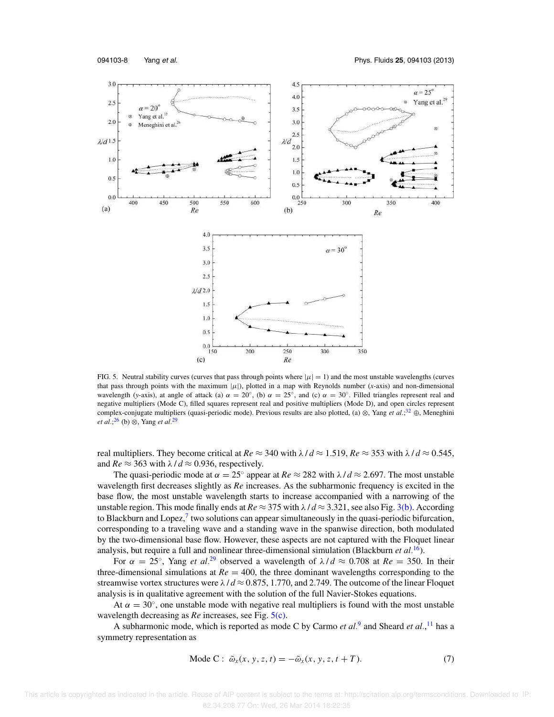

FIG. 5. Neutral stability curves (curves that pass through points where  $|\mu| = 1$ ) and the most unstable wavelengths (curves that pass through points with the maximum  $|\mu|$ ), plotted in a map with Reynolds number (*x*-axis) and non-dimensional wavelength (*y*-axis), at angle of attack (a)  $\alpha = 20^{\circ}$ , (b)  $\alpha = 25^{\circ}$ , and (c)  $\alpha = 30^{\circ}$ . Filled triangles represent real and negative multipliers (Mode C), filled squares represent real and positive multipliers (Mode D), and open circles represent complex-conjugate multipliers (quasi-periodic mode). Previous results are also plotted, (a) ⊗, Yang *et al.*; <sup>32</sup> ⊕, Meneghini *et al.*; <sup>26</sup> (b) ⊗, Yang *et al.*<sup>29</sup>

real multipliers. They become critical at  $Re \approx 340$  with  $\lambda / d \approx 1.519$ ,  $Re \approx 353$  with  $\lambda / d \approx 0.545$ , and  $Re \approx 363$  with  $\lambda/d \approx 0.936$ , respectively.

The quasi-periodic mode at  $\alpha = 25^\circ$  appear at  $Re \approx 282$  with  $\lambda / d \approx 2.697$ . The most unstable wavelength first decreases slightly as *Re* increases. As the subharmonic frequency is excited in the base flow, the most unstable wavelength starts to increase accompanied with a narrowing of the unstable region. This mode finally ends at  $Re \approx 375$  with  $\lambda / d \approx 3.321$ , see also Fig. 3(b). According to Blackburn and Lopez, $^7$  two solutions can appear simultaneously in the quasi-periodic bifurcation, corresponding to a traveling wave and a standing wave in the spanwise direction, both modulated by the two-dimensional base flow. However, these aspects are not captured with the Floquet linear analysis, but require a full and nonlinear three-dimensional simulation (Blackburn *et al.*<sup>16</sup>).

For  $\alpha = 25^{\circ}$ , Yang *et al.*<sup>29</sup> observed a wavelength of  $\lambda/d \approx 0.708$  at  $Re = 350$ . In their three-dimensional simulations at  $Re = 400$ , the three dominant wavelengths corresponding to the streamwise vortex structures were  $\lambda / d \approx 0.875, 1.770,$  and 2.749. The outcome of the linear Floquet analysis is in qualitative agreement with the solution of the full Navier-Stokes equations.

At  $\alpha = 30^{\circ}$ , one unstable mode with negative real multipliers is found with the most unstable wavelength decreasing as *Re* increases, see Fig. 5(c).

A subharmonic mode, which is reported as mode C by Carmo *et al.*<sup>9</sup> and Sheard *et al.*,<sup>11</sup> has a symmetry representation as

$$
\text{Mode C: } \tilde{\omega}_x(x, y, z, t) = -\tilde{\omega}_x(x, y, z, t + T). \tag{7}
$$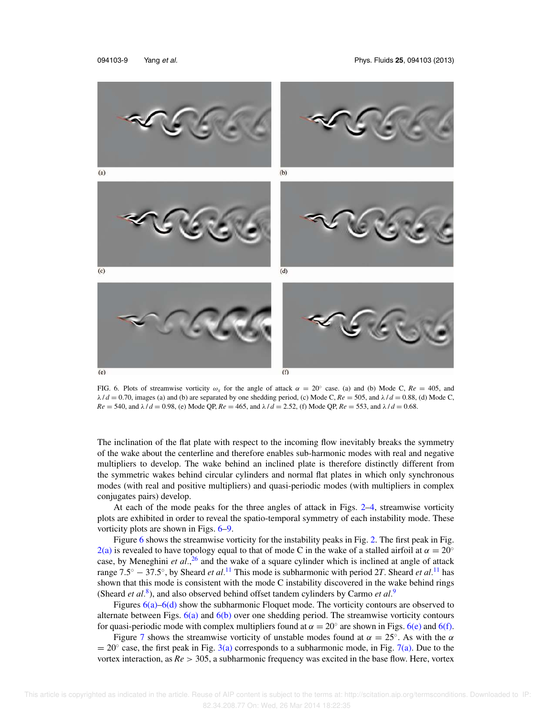

FIG. 6. Plots of streamwise vorticity  $\omega_x$  for the angle of attack  $\alpha = 20^\circ$  case. (a) and (b) Mode C,  $Re = 405$ , and  $\lambda$  /  $d = 0.70$ , images (a) and (b) are separated by one shedding period, (c) Mode C,  $Re = 505$ , and  $\lambda$  /  $d = 0.88$ , (d) Mode C, *Re* = 540, and  $\lambda$  / *d* = 0.98, (e) Mode QP, *Re* = 465, and  $\lambda$  / *d* = 2.52, (f) Mode QP, *Re* = 553, and  $\lambda$  / *d* = 0.68.

The inclination of the flat plate with respect to the incoming flow inevitably breaks the symmetry of the wake about the centerline and therefore enables sub-harmonic modes with real and negative multipliers to develop. The wake behind an inclined plate is therefore distinctly different from the symmetric wakes behind circular cylinders and normal flat plates in which only synchronous modes (with real and positive multipliers) and quasi-periodic modes (with multipliers in complex conjugates pairs) develop.

At each of the mode peaks for the three angles of attack in Figs. 2–4, streamwise vorticity plots are exhibited in order to reveal the spatio-temporal symmetry of each instability mode. These vorticity plots are shown in Figs. 6–9.

Figure 6 shows the streamwise vorticity for the instability peaks in Fig. 2. The first peak in Fig. 2(a) is revealed to have topology equal to that of mode C in the wake of a stalled airfoil at  $\alpha = 20^{\circ}$ case, by Meneghini *et al.*, <sup>26</sup> and the wake of a square cylinder which is inclined at angle of attack range 7.5◦ − 37.5◦ , by Sheard *et al.*<sup>11</sup> This mode is subharmonic with period 2*T*. Sheard *et al.*<sup>11</sup> has shown that this mode is consistent with the mode C instability discovered in the wake behind rings (Sheard *et al.*<sup>8</sup>), and also observed behind offset tandem cylinders by Carmo *et al.*<sup>9</sup>

Figures 6(a)–6(d) show the subharmonic Floquet mode. The vorticity contours are observed to alternate between Figs.  $6(a)$  and  $6(b)$  over one shedding period. The streamwise vorticity contours for quasi-periodic mode with complex multipliers found at  $\alpha = 20^\circ$  are shown in Figs. 6(e) and 6(f).

Figure 7 shows the streamwise vorticity of unstable modes found at  $\alpha = 25^{\circ}$ . As with the  $\alpha$  $= 20^\circ$  case, the first peak in Fig. 3(a) corresponds to a subharmonic mode, in Fig. 7(a). Due to the vortex interaction, as *Re* > 305, a subharmonic frequency was excited in the base flow. Here, vortex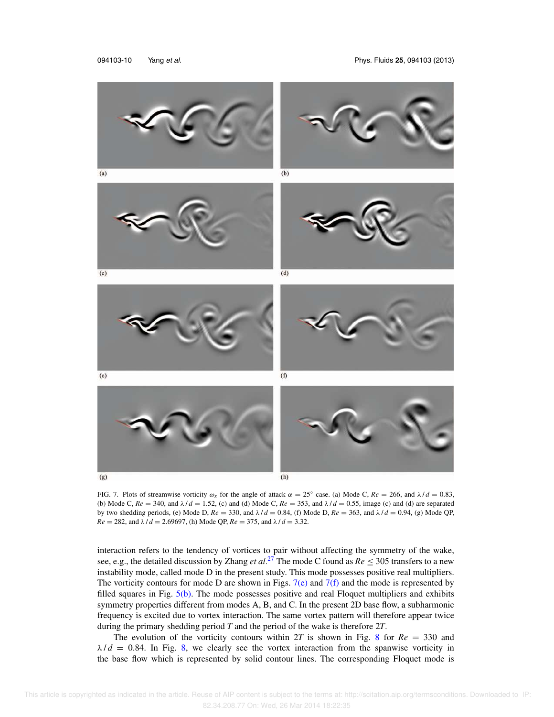

FIG. 7. Plots of streamwise vorticity  $\omega_x$  for the angle of attack  $\alpha = 25^\circ$  case. (a) Mode C,  $Re = 266$ , and  $\lambda/d = 0.83$ , (b) Mode C,  $Re = 340$ , and  $\lambda/d = 1.52$ , (c) and (d) Mode C,  $Re = 353$ , and  $\lambda/d = 0.55$ , image (c) and (d) are separated by two shedding periods, (e) Mode D, *Re* = 330, and λ / *d* = 0.84, (f) Mode D, *Re* = 363, and λ / *d* = 0.94, (g) Mode QP,  $Re = 282$ , and  $\lambda / d = 2.69697$ , (h) Mode QP,  $Re = 375$ , and  $\lambda / d = 3.32$ .

interaction refers to the tendency of vortices to pair without affecting the symmetry of the wake, see, e.g., the detailed discussion by Zhang *et al.*<sup>27</sup> The mode C found as  $Re \leq 305$  transfers to a new instability mode, called mode D in the present study. This mode possesses positive real multipliers. The vorticity contours for mode D are shown in Figs.  $7(e)$  and  $7(f)$  and the mode is represented by filled squares in Fig.  $5(b)$ . The mode possesses positive and real Floquet multipliers and exhibits symmetry properties different from modes A, B, and C. In the present 2D base flow, a subharmonic frequency is excited due to vortex interaction. The same vortex pattern will therefore appear twice during the primary shedding period *T* and the period of the wake is therefore 2*T*.

The evolution of the vorticity contours within 2*T* is shown in Fig. 8 for *Re* = 330 and  $\lambda/d = 0.84$ . In Fig. 8, we clearly see the vortex interaction from the spanwise vorticity in the base flow which is represented by solid contour lines. The corresponding Floquet mode is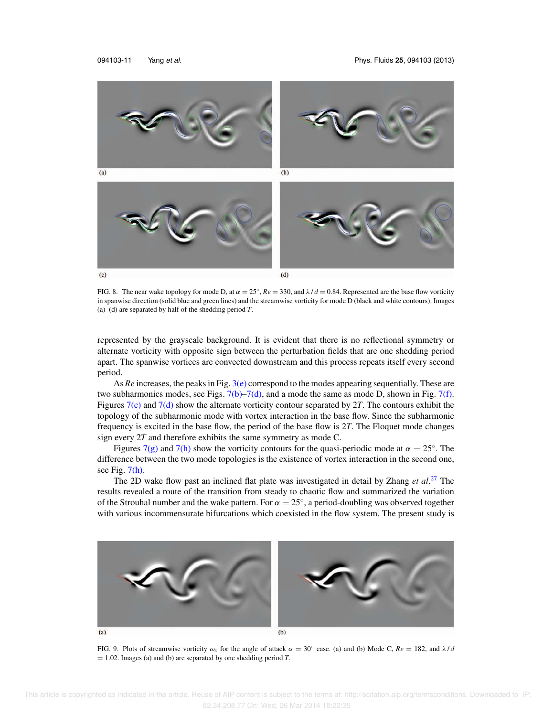

FIG. 8. The near wake topology for mode D, at  $\alpha = 25^\circ$ ,  $Re = 330$ , and  $\lambda/d = 0.84$ . Represented are the base flow vorticity in spanwise direction (solid blue and green lines) and the streamwise vorticity for mode D (black and white contours). Images (a)–(d) are separated by half of the shedding period *T*.

represented by the grayscale background. It is evident that there is no reflectional symmetry or alternate vorticity with opposite sign between the perturbation fields that are one shedding period apart. The spanwise vortices are convected downstream and this process repeats itself every second period.

As *Re* increases, the peaks in Fig. 3(e) correspond to the modes appearing sequentially. These are two subharmonics modes, see Figs.  $7(b)$ – $7(d)$ , and a mode the same as mode D, shown in Fig.  $7(f)$ . Figures 7(c) and 7(d) show the alternate vorticity contour separated by 2*T*. The contours exhibit the topology of the subharmonic mode with vortex interaction in the base flow. Since the subharmonic frequency is excited in the base flow, the period of the base flow is 2*T*. The Floquet mode changes sign every 2*T* and therefore exhibits the same symmetry as mode C.

Figures 7(g) and 7(h) show the vorticity contours for the quasi-periodic mode at  $\alpha = 25^{\circ}$ . The difference between the two mode topologies is the existence of vortex interaction in the second one, see Fig.  $7(h)$ .

The 2D wake flow past an inclined flat plate was investigated in detail by Zhang *et al.*<sup>27</sup> The results revealed a route of the transition from steady to chaotic flow and summarized the variation of the Strouhal number and the wake pattern. For  $\alpha = 25^{\circ}$ , a period-doubling was observed together with various incommensurate bifurcations which coexisted in the flow system. The present study is



FIG. 9. Plots of streamwise vorticity  $\omega_x$  for the angle of attack  $\alpha = 30^\circ$  case. (a) and (b) Mode C,  $Re = 182$ , and  $\lambda/d$  $= 1.02$ . Images (a) and (b) are separated by one shedding period *T*.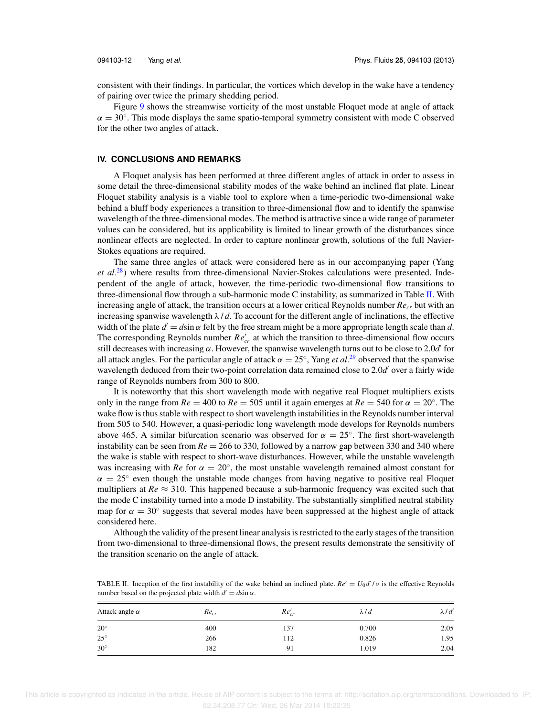consistent with their findings. In particular, the vortices which develop in the wake have a tendency of pairing over twice the primary shedding period.

Figure 9 shows the streamwise vorticity of the most unstable Floquet mode at angle of attack  $\alpha = 30^{\circ}$ . This mode displays the same spatio-temporal symmetry consistent with mode C observed for the other two angles of attack.

#### **IV. CONCLUSIONS AND REMARKS**

A Floquet analysis has been performed at three different angles of attack in order to assess in some detail the three-dimensional stability modes of the wake behind an inclined flat plate. Linear Floquet stability analysis is a viable tool to explore when a time-periodic two-dimensional wake behind a bluff body experiences a transition to three-dimensional flow and to identify the spanwise wavelength of the three-dimensional modes. The method is attractive since a wide range of parameter values can be considered, but its applicability is limited to linear growth of the disturbances since nonlinear effects are neglected. In order to capture nonlinear growth, solutions of the full Navier-Stokes equations are required.

The same three angles of attack were considered here as in our accompanying paper (Yang *et al.*<sup>28</sup>) where results from three-dimensional Navier-Stokes calculations were presented. Independent of the angle of attack, however, the time-periodic two-dimensional flow transitions to three-dimensional flow through a sub-harmonic mode C instability, as summarized in Table II. With increasing angle of attack, the transition occurs at a lower critical Reynolds number *Recr* but with an increasing spanwise wavelength  $\lambda / d$ . To account for the different angle of inclinations, the effective width of the plate  $d' = d \sin \alpha$  felt by the free stream might be a more appropriate length scale than  $d$ . The corresponding Reynolds number  $Re'_{cr}$  at which the transition to three-dimensional flow occurs still decreases with increasing  $\alpha$ . However, the spanwise wavelength turns out to be close to 2.0*d'* for all attack angles. For the particular angle of attack  $\alpha = 25^{\circ}$ , Yang *et al*.<sup>29</sup> observed that the spanwise wavelength deduced from their two-point correlation data remained close to 2.0*d'* over a fairly wide range of Reynolds numbers from 300 to 800.

It is noteworthy that this short wavelength mode with negative real Floquet multipliers exists only in the range from  $Re = 400$  to  $Re = 505$  until it again emerges at  $Re = 540$  for  $\alpha = 20^\circ$ . The wake flow is thus stable with respect to short wavelength instabilities in the Reynolds number interval from 505 to 540. However, a quasi-periodic long wavelength mode develops for Reynolds numbers above 465. A similar bifurcation scenario was observed for  $\alpha = 25^\circ$ . The first short-wavelength instability can be seen from  $Re = 266$  to 330, followed by a narrow gap between 330 and 340 where the wake is stable with respect to short-wave disturbances. However, while the unstable wavelength was increasing with *Re* for  $\alpha = 20^{\circ}$ , the most unstable wavelength remained almost constant for  $\alpha = 25^{\circ}$  even though the unstable mode changes from having negative to positive real Floquet multipliers at  $Re \approx 310$ . This happened because a sub-harmonic frequency was excited such that the mode C instability turned into a mode D instability. The substantially simplified neutral stability map for  $\alpha = 30^\circ$  suggests that several modes have been suppressed at the highest angle of attack considered here.

Although the validity of the present linear analysis is restricted to the early stages of the transition from two-dimensional to three-dimensional flows, the present results demonstrate the sensitivity of the transition scenario on the angle of attack.

| TABLE II. Inception of the first instability of the wake behind an inclined plate. $Re' = U_0 d'/\nu$ is the effective Reynolds |
|---------------------------------------------------------------------------------------------------------------------------------|
| number based on the projected plate width $d' = d\sin \alpha$ .                                                                 |

| Attack angle $\alpha$ | $Re_{cr}$ | $Re'_{cr}$ | $\lambda$ <i>ld</i> | $\lambda$ / $d'$ |
|-----------------------|-----------|------------|---------------------|------------------|
| $20^{\circ}$          | 400       | 137        | 0.700               | 2.05             |
| $25^{\circ}$          | 266       | 112        | 0.826               | 1.95             |
| $30^\circ$            | 182       | 91         | 1.019               | 2.04             |